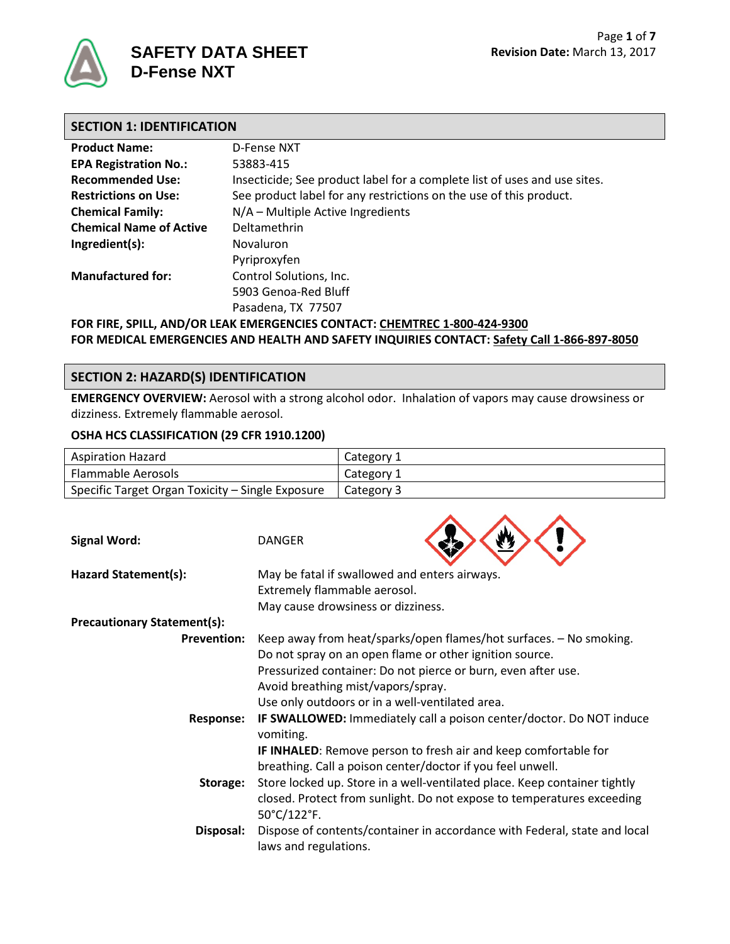

# **SECTION 1: IDENTIFICATION**

| <b>Product Name:</b>           | D-Fense NXT                                                               |
|--------------------------------|---------------------------------------------------------------------------|
|                                |                                                                           |
| <b>EPA Registration No.:</b>   | 53883-415                                                                 |
| <b>Recommended Use:</b>        | Insecticide; See product label for a complete list of uses and use sites. |
| <b>Restrictions on Use:</b>    | See product label for any restrictions on the use of this product.        |
| <b>Chemical Family:</b>        | N/A – Multiple Active Ingredients                                         |
| <b>Chemical Name of Active</b> | Deltamethrin                                                              |
| Ingredient(s):                 | Novaluron                                                                 |
|                                | Pyriproxyfen                                                              |
| <b>Manufactured for:</b>       | Control Solutions, Inc.                                                   |
|                                | 5903 Genoa-Red Bluff                                                      |
|                                | Pasadena, TX 77507                                                        |
|                                | FOR FIRE, SPILL, AND/OR LEAK EMERGENCIES CONTACT: CHEMTREC 1-800-424-9300 |

**FOR MEDICAL EMERGENCIES AND HEALTH AND SAFETY INQUIRIES CONTACT: Safety Call 1-866-897-8050**

# **SECTION 2: HAZARD(S) IDENTIFICATION**

**EMERGENCY OVERVIEW:** Aerosol with a strong alcohol odor. Inhalation of vapors may cause drowsiness or dizziness. Extremely flammable aerosol.

### **OSHA HCS CLASSIFICATION (29 CFR 1910.1200)**

| <b>Aspiration Hazard</b>                         | Category 1   |
|--------------------------------------------------|--------------|
| <b>Flammable Aerosols</b>                        | Category 1   |
| Specific Target Organ Toxicity – Single Exposure | ⊥ Category 3 |

 $\blacktriangle$ 

 $\overline{\phantom{a}}$ 

 $\blacktriangle$ 

| <b>Signal Word:</b>                | <b>DANGER</b>                                                                                                                                                                                                                                                                           |
|------------------------------------|-----------------------------------------------------------------------------------------------------------------------------------------------------------------------------------------------------------------------------------------------------------------------------------------|
| Hazard Statement(s):               | May be fatal if swallowed and enters airways.<br>Extremely flammable aerosol.<br>May cause drowsiness or dizziness.                                                                                                                                                                     |
| <b>Precautionary Statement(s):</b> |                                                                                                                                                                                                                                                                                         |
| <b>Prevention:</b>                 | Keep away from heat/sparks/open flames/hot surfaces. - No smoking.<br>Do not spray on an open flame or other ignition source.<br>Pressurized container: Do not pierce or burn, even after use.<br>Avoid breathing mist/vapors/spray.<br>Use only outdoors or in a well-ventilated area. |
| <b>Response:</b>                   | <b>IF SWALLOWED:</b> Immediately call a poison center/doctor. Do NOT induce<br>vomiting.<br><b>IF INHALED:</b> Remove person to fresh air and keep comfortable for<br>breathing. Call a poison center/doctor if you feel unwell.                                                        |
| Storage:                           | Store locked up. Store in a well-ventilated place. Keep container tightly<br>closed. Protect from sunlight. Do not expose to temperatures exceeding<br>50°C/122°F.                                                                                                                      |
| Disposal:                          | Dispose of contents/container in accordance with Federal, state and local<br>laws and regulations.                                                                                                                                                                                      |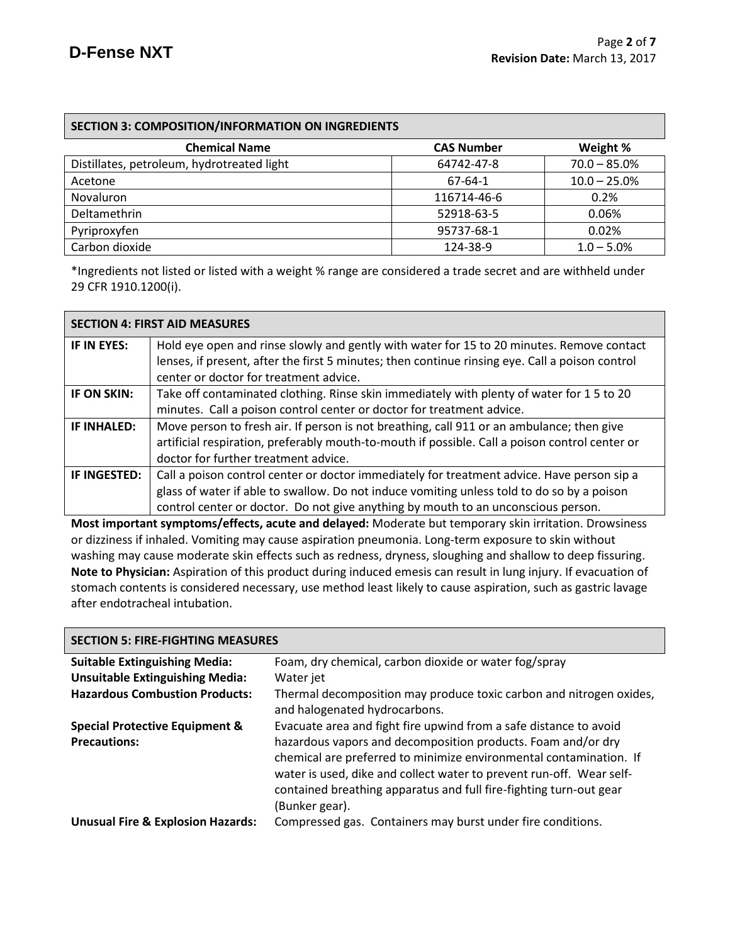| <b>SECTION 3: COMPOSITION/INFORMATION ON INGREDIENTS</b> |                   |                 |
|----------------------------------------------------------|-------------------|-----------------|
| <b>Chemical Name</b>                                     | <b>CAS Number</b> | Weight %        |
| Distillates, petroleum, hydrotreated light               | 64742-47-8        | $70.0 - 85.0\%$ |
| Acetone                                                  | 67-64-1           | $10.0 - 25.0%$  |
| <b>Novaluron</b>                                         | 116714-46-6       | 0.2%            |
| Deltamethrin                                             | 52918-63-5        | 0.06%           |
| Pyriproxyfen                                             | 95737-68-1        | 0.02%           |
| Carbon dioxide                                           | 124-38-9          | $1.0 - 5.0%$    |

\*Ingredients not listed or listed with a weight % range are considered a trade secret and are withheld under 29 CFR 1910.1200(i).

|                    | <b>SECTION 4: FIRST AID MEASURES</b>                                                                                                                                                         |
|--------------------|----------------------------------------------------------------------------------------------------------------------------------------------------------------------------------------------|
| IF IN EYES:        | Hold eye open and rinse slowly and gently with water for 15 to 20 minutes. Remove contact<br>lenses, if present, after the first 5 minutes; then continue rinsing eye. Call a poison control |
|                    | center or doctor for treatment advice.                                                                                                                                                       |
| IF ON SKIN:        | Take off contaminated clothing. Rinse skin immediately with plenty of water for 15 to 20                                                                                                     |
|                    | minutes. Call a poison control center or doctor for treatment advice.                                                                                                                        |
| <b>IF INHALED:</b> | Move person to fresh air. If person is not breathing, call 911 or an ambulance; then give                                                                                                    |
|                    | artificial respiration, preferably mouth-to-mouth if possible. Call a poison control center or                                                                                               |
|                    | doctor for further treatment advice.                                                                                                                                                         |
| IF INGESTED:       | Call a poison control center or doctor immediately for treatment advice. Have person sip a                                                                                                   |
|                    | glass of water if able to swallow. Do not induce vomiting unless told to do so by a poison                                                                                                   |
|                    | control center or doctor. Do not give anything by mouth to an unconscious person.                                                                                                            |

**Most important symptoms/effects, acute and delayed:** Moderate but temporary skin irritation. Drowsiness or dizziness if inhaled. Vomiting may cause aspiration pneumonia. Long-term exposure to skin without washing may cause moderate skin effects such as redness, dryness, sloughing and shallow to deep fissuring. **Note to Physician:** Aspiration of this product during induced emesis can result in lung injury. If evacuation of stomach contents is considered necessary, use method least likely to cause aspiration, such as gastric lavage after endotracheal intubation.

| <b>SECTION 5: FIRE-FIGHTING MEASURES</b>     |                                                                                                                                                                                                                                                                                                    |  |
|----------------------------------------------|----------------------------------------------------------------------------------------------------------------------------------------------------------------------------------------------------------------------------------------------------------------------------------------------------|--|
| <b>Suitable Extinguishing Media:</b>         | Foam, dry chemical, carbon dioxide or water fog/spray                                                                                                                                                                                                                                              |  |
| <b>Unsuitable Extinguishing Media:</b>       | Water jet                                                                                                                                                                                                                                                                                          |  |
| <b>Hazardous Combustion Products:</b>        | Thermal decomposition may produce toxic carbon and nitrogen oxides,<br>and halogenated hydrocarbons.                                                                                                                                                                                               |  |
| <b>Special Protective Equipment &amp;</b>    | Evacuate area and fight fire upwind from a safe distance to avoid                                                                                                                                                                                                                                  |  |
| <b>Precautions:</b>                          | hazardous vapors and decomposition products. Foam and/or dry<br>chemical are preferred to minimize environmental contamination. If<br>water is used, dike and collect water to prevent run-off. Wear self-<br>contained breathing apparatus and full fire-fighting turn-out gear<br>(Bunker gear). |  |
| <b>Unusual Fire &amp; Explosion Hazards:</b> | Compressed gas. Containers may burst under fire conditions.                                                                                                                                                                                                                                        |  |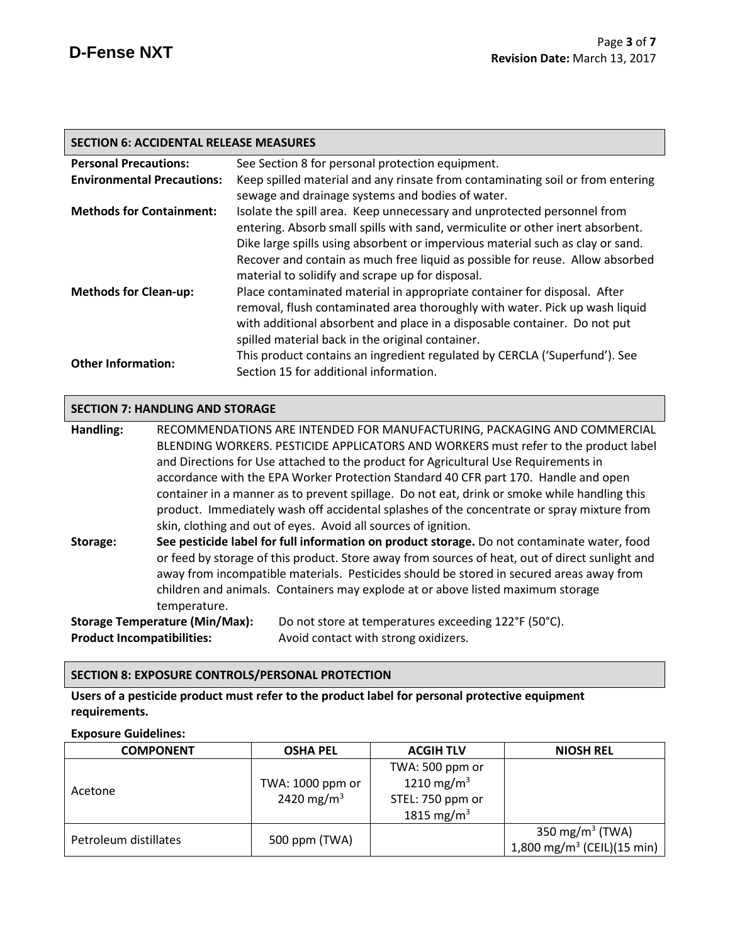| <b>SECTION 6: ACCIDENTAL RELEASE MEASURES</b> |                                                                                                                                                                                                                                                                                                                                                                                  |  |
|-----------------------------------------------|----------------------------------------------------------------------------------------------------------------------------------------------------------------------------------------------------------------------------------------------------------------------------------------------------------------------------------------------------------------------------------|--|
| <b>Personal Precautions:</b>                  | See Section 8 for personal protection equipment.                                                                                                                                                                                                                                                                                                                                 |  |
| <b>Environmental Precautions:</b>             | Keep spilled material and any rinsate from contaminating soil or from entering<br>sewage and drainage systems and bodies of water.                                                                                                                                                                                                                                               |  |
| <b>Methods for Containment:</b>               | Isolate the spill area. Keep unnecessary and unprotected personnel from<br>entering. Absorb small spills with sand, vermiculite or other inert absorbent.<br>Dike large spills using absorbent or impervious material such as clay or sand.<br>Recover and contain as much free liquid as possible for reuse. Allow absorbed<br>material to solidify and scrape up for disposal. |  |
| <b>Methods for Clean-up:</b>                  | Place contaminated material in appropriate container for disposal. After<br>removal, flush contaminated area thoroughly with water. Pick up wash liquid<br>with additional absorbent and place in a disposable container. Do not put<br>spilled material back in the original container.                                                                                         |  |
| <b>Other Information:</b>                     | This product contains an ingredient regulated by CERCLA ('Superfund'). See<br>Section 15 for additional information.                                                                                                                                                                                                                                                             |  |

# **SECTION 7: HANDLING AND STORAGE**

**Handling:** RECOMMENDATIONS ARE INTENDED FOR MANUFACTURING, PACKAGING AND COMMERCIAL BLENDING WORKERS. PESTICIDE APPLICATORS AND WORKERS must refer to the product label and Directions for Use attached to the product for Agricultural Use Requirements in accordance with the EPA Worker Protection Standard 40 CFR part 170.Handle and open container in a manner as to prevent spillage. Do not eat, drink or smoke while handling this product. Immediately wash off accidental splashes of the concentrate or spray mixture from skin, clothing and out of eyes. Avoid all sources of ignition.

**Storage: See pesticide label for full information on product storage.** Do not contaminate water, food or feed by storage of this product. Store away from sources of heat, out of direct sunlight and away from incompatible materials. Pesticides should be stored in secured areas away from children and animals. Containers may explode at or above listed maximum storage temperature. **Storage Temperature (Min/Max):** Do not store at temperatures exceeding 122°F (50°C).

**Product Incompatibilities:** Avoid contact with strong oxidizers.

# **SECTION 8: EXPOSURE CONTROLS/PERSONAL PROTECTION**

**Users of a pesticide product must refer to the product label for personal protective equipment requirements.**

#### **Exposure Guidelines:**

| <b>COMPONENT</b>      | <b>OSHA PEL</b>                            | <b>ACGIH TLV</b>                                                                        | <b>NIOSH REL</b>                                                      |
|-----------------------|--------------------------------------------|-----------------------------------------------------------------------------------------|-----------------------------------------------------------------------|
| Acetone               | TWA: 1000 ppm or<br>2420 mg/m <sup>3</sup> | TWA: 500 ppm or<br>1210 mg/m <sup>3</sup><br>STEL: 750 ppm or<br>1815 mg/m <sup>3</sup> |                                                                       |
| Petroleum distillates | 500 ppm (TWA)                              |                                                                                         | 350 mg/m <sup>3</sup> (TWA)<br>1,800 mg/m <sup>3</sup> (CEIL)(15 min) |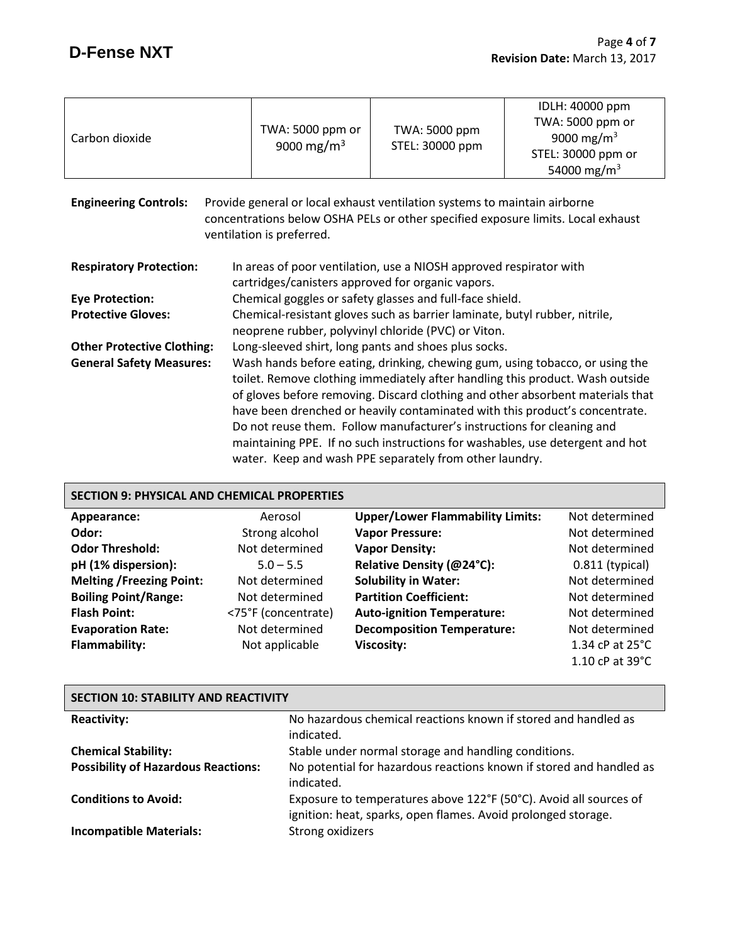┓

| Carbon dioxide                                                                                                                                                                                                             | TWA: 5000 ppm or<br>9000 mg/m <sup>3</sup>                                                                                                                                                                                                                                                                                                                                                                                                                                                                                                           | TWA: 5000 ppm<br>STEL: 30000 ppm                                                                                        | IDLH: 40000 ppm<br>TWA: 5000 ppm or<br>9000 mg/m <sup>3</sup><br>STEL: 30000 ppm or<br>54000 mg/m <sup>3</sup> |
|----------------------------------------------------------------------------------------------------------------------------------------------------------------------------------------------------------------------------|------------------------------------------------------------------------------------------------------------------------------------------------------------------------------------------------------------------------------------------------------------------------------------------------------------------------------------------------------------------------------------------------------------------------------------------------------------------------------------------------------------------------------------------------------|-------------------------------------------------------------------------------------------------------------------------|----------------------------------------------------------------------------------------------------------------|
| <b>Engineering Controls:</b><br>Provide general or local exhaust ventilation systems to maintain airborne<br>concentrations below OSHA PELs or other specified exposure limits. Local exhaust<br>ventilation is preferred. |                                                                                                                                                                                                                                                                                                                                                                                                                                                                                                                                                      |                                                                                                                         |                                                                                                                |
| <b>Respiratory Protection:</b>                                                                                                                                                                                             |                                                                                                                                                                                                                                                                                                                                                                                                                                                                                                                                                      | In areas of poor ventilation, use a NIOSH approved respirator with<br>cartridges/canisters approved for organic vapors. |                                                                                                                |
| <b>Eye Protection:</b>                                                                                                                                                                                                     | Chemical goggles or safety glasses and full-face shield.                                                                                                                                                                                                                                                                                                                                                                                                                                                                                             |                                                                                                                         |                                                                                                                |
| <b>Protective Gloves:</b>                                                                                                                                                                                                  | Chemical-resistant gloves such as barrier laminate, butyl rubber, nitrile,<br>neoprene rubber, polyvinyl chloride (PVC) or Viton.                                                                                                                                                                                                                                                                                                                                                                                                                    |                                                                                                                         |                                                                                                                |
| <b>Other Protective Clothing:</b>                                                                                                                                                                                          | Long-sleeved shirt, long pants and shoes plus socks.                                                                                                                                                                                                                                                                                                                                                                                                                                                                                                 |                                                                                                                         |                                                                                                                |
| <b>General Safety Measures:</b>                                                                                                                                                                                            | Wash hands before eating, drinking, chewing gum, using tobacco, or using the<br>toilet. Remove clothing immediately after handling this product. Wash outside<br>of gloves before removing. Discard clothing and other absorbent materials that<br>have been drenched or heavily contaminated with this product's concentrate.<br>Do not reuse them. Follow manufacturer's instructions for cleaning and<br>maintaining PPE. If no such instructions for washables, use detergent and hot<br>water. Keep and wash PPE separately from other laundry. |                                                                                                                         |                                                                                                                |

# **SECTION 9: PHYSICAL AND CHEMICAL PROPERTIES**

| Appearance:                     | Aerosol             | <b>Upper/Lower Flammability Limits:</b> | Not determined              |
|---------------------------------|---------------------|-----------------------------------------|-----------------------------|
| Odor:                           | Strong alcohol      | <b>Vapor Pressure:</b>                  | Not determined              |
| <b>Odor Threshold:</b>          | Not determined      | <b>Vapor Density:</b>                   | Not determined              |
| pH (1% dispersion):             | $5.0 - 5.5$         | Relative Density (@24°C):               | $0.811$ (typical)           |
| <b>Melting /Freezing Point:</b> | Not determined      | <b>Solubility in Water:</b>             | Not determined              |
| <b>Boiling Point/Range:</b>     | Not determined      | <b>Partition Coefficient:</b>           | Not determined              |
| <b>Flash Point:</b>             | <75°F (concentrate) | <b>Auto-ignition Temperature:</b>       | Not determined              |
| <b>Evaporation Rate:</b>        | Not determined      | <b>Decomposition Temperature:</b>       | Not determined              |
| <b>Flammability:</b>            | Not applicable      | <b>Viscosity:</b>                       | 1.34 cP at $25^{\circ}$ C   |
|                                 |                     |                                         | 1.10 $cP$ at 39 $\degree$ C |

| <b>SECTION 10: STABILITY AND REACTIVITY</b> |                                                                                                                                    |  |
|---------------------------------------------|------------------------------------------------------------------------------------------------------------------------------------|--|
| <b>Reactivity:</b>                          | No hazardous chemical reactions known if stored and handled as<br>indicated.                                                       |  |
| <b>Chemical Stability:</b>                  | Stable under normal storage and handling conditions.                                                                               |  |
| <b>Possibility of Hazardous Reactions:</b>  | No potential for hazardous reactions known if stored and handled as<br>indicated.                                                  |  |
| <b>Conditions to Avoid:</b>                 | Exposure to temperatures above 122°F (50°C). Avoid all sources of<br>ignition: heat, sparks, open flames. Avoid prolonged storage. |  |
| <b>Incompatible Materials:</b>              | Strong oxidizers                                                                                                                   |  |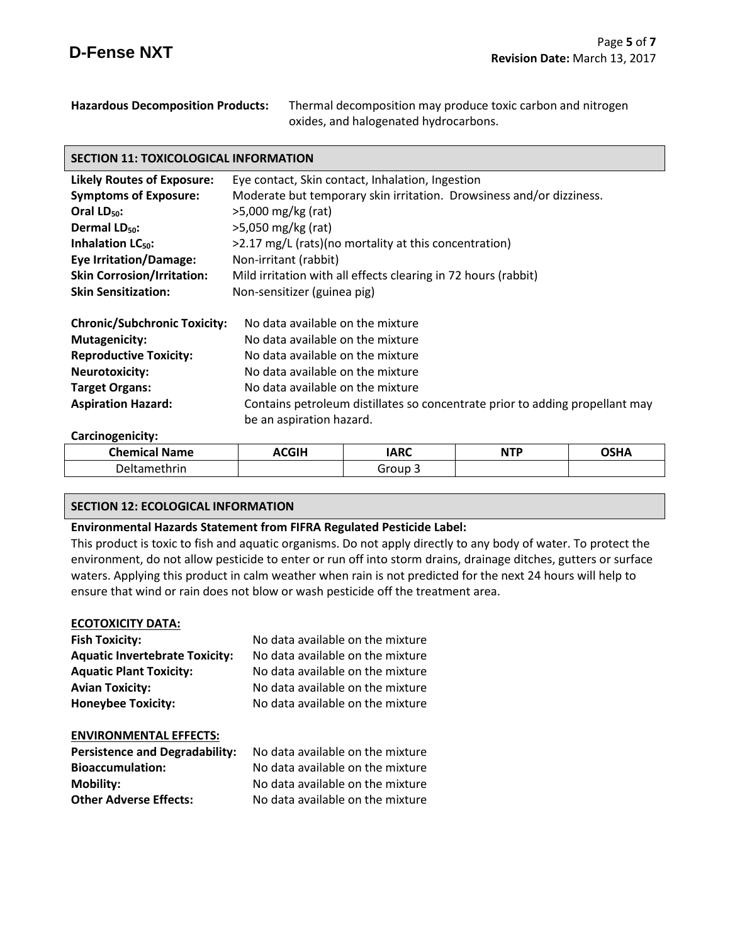| <b>Hazardous Decomposition Products:</b> | Thermal decomposition may produce toxic carbon and nitrogen |
|------------------------------------------|-------------------------------------------------------------|
|                                          | oxides, and halogenated hydrocarbons.                       |

# **SECTION 11: TOXICOLOGICAL INFORMATION**

| <b>Likely Routes of Exposure:</b>   | Eye contact, Skin contact, Inhalation, Ingestion                             |
|-------------------------------------|------------------------------------------------------------------------------|
| <b>Symptoms of Exposure:</b>        | Moderate but temporary skin irritation. Drowsiness and/or dizziness.         |
| Oral $LD_{50}$ :                    | >5,000 mg/kg (rat)                                                           |
| Dermal LD <sub>50</sub> :           | $>5,050$ mg/kg (rat)                                                         |
| <b>Inhalation LC<sub>50</sub>:</b>  | >2.17 mg/L (rats)(no mortality at this concentration)                        |
| <b>Eye Irritation/Damage:</b>       | Non-irritant (rabbit)                                                        |
| <b>Skin Corrosion/Irritation:</b>   | Mild irritation with all effects clearing in 72 hours (rabbit)               |
| <b>Skin Sensitization:</b>          | Non-sensitizer (guinea pig)                                                  |
| <b>Chronic/Subchronic Toxicity:</b> | No data available on the mixture                                             |
| <b>Mutagenicity:</b>                | No data available on the mixture                                             |
| <b>Reproductive Toxicity:</b>       | No data available on the mixture                                             |
| <b>Neurotoxicity:</b>               | No data available on the mixture                                             |
| <b>Target Organs:</b>               | No data available on the mixture                                             |
| <b>Aspiration Hazard:</b>           | Contains petroleum distillates so concentrate prior to adding propellant may |
|                                     | be an aspiration hazard.                                                     |

#### **Carcinogenicity:**

| Chemical.<br><b>Name</b><br>.                                                                     | <b>\CGIH</b><br>$ -$ | IARC<br>$\sim$ | NITO | ∩נ⊔∧ |
|---------------------------------------------------------------------------------------------------|----------------------|----------------|------|------|
| +ا⊿ר<br>ethrin<br>the contract of the contract of the contract of the contract of the contract of |                      | Group          |      |      |

#### **SECTION 12: ECOLOGICAL INFORMATION**

# **Environmental Hazards Statement from FIFRA Regulated Pesticide Label:**

This product is toxic to fish and aquatic organisms. Do not apply directly to any body of water. To protect the environment, do not allow pesticide to enter or run off into storm drains, drainage ditches, gutters or surface waters. Applying this product in calm weather when rain is not predicted for the next 24 hours will help to ensure that wind or rain does not blow or wash pesticide off the treatment area.

#### **ECOTOXICITY DATA:**

| <b>Fish Toxicity:</b>                 | No data available on the mixture |
|---------------------------------------|----------------------------------|
| <b>Aquatic Invertebrate Toxicity:</b> | No data available on the mixture |
| <b>Aquatic Plant Toxicity:</b>        | No data available on the mixture |
| <b>Avian Toxicity:</b>                | No data available on the mixture |
| <b>Honeybee Toxicity:</b>             | No data available on the mixture |
|                                       |                                  |

#### **ENVIRONMENTAL EFFECTS:**

| <b>Persistence and Degradability:</b> | No data available on the mixture |
|---------------------------------------|----------------------------------|
| <b>Bioaccumulation:</b>               | No data available on the mixture |
| Mobility:                             | No data available on the mixture |
| <b>Other Adverse Effects:</b>         | No data available on the mixture |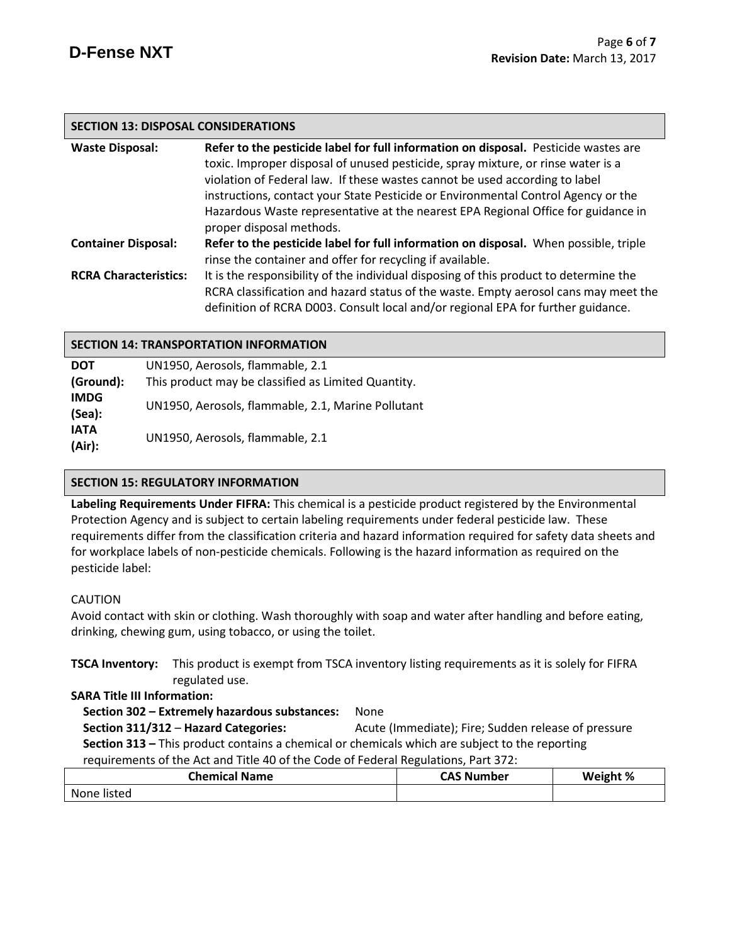# **SECTION 13: DISPOSAL CONSIDERATIONS**

| <b>Waste Disposal:</b>       | Refer to the pesticide label for full information on disposal. Pesticide wastes are   |
|------------------------------|---------------------------------------------------------------------------------------|
|                              | toxic. Improper disposal of unused pesticide, spray mixture, or rinse water is a      |
|                              | violation of Federal law. If these wastes cannot be used according to label           |
|                              | instructions, contact your State Pesticide or Environmental Control Agency or the     |
|                              | Hazardous Waste representative at the nearest EPA Regional Office for guidance in     |
|                              | proper disposal methods.                                                              |
| <b>Container Disposal:</b>   | Refer to the pesticide label for full information on disposal. When possible, triple  |
|                              | rinse the container and offer for recycling if available.                             |
| <b>RCRA Characteristics:</b> | It is the responsibility of the individual disposing of this product to determine the |
|                              | RCRA classification and hazard status of the waste. Empty aerosol cans may meet the   |
|                              | definition of RCRA D003. Consult local and/or regional EPA for further guidance.      |

# **SECTION 14: TRANSPORTATION INFORMATION**

| <b>DOT</b>            | UN1950, Aerosols, flammable, 2.1                    |
|-----------------------|-----------------------------------------------------|
| (Ground):             | This product may be classified as Limited Quantity. |
| <b>IMDG</b><br>(Sea): | UN1950, Aerosols, flammable, 2.1, Marine Pollutant  |
| <b>IATA</b><br>(Air): | UN1950, Aerosols, flammable, 2.1                    |

# **SECTION 15: REGULATORY INFORMATION**

**Labeling Requirements Under FIFRA:** This chemical is a pesticide product registered by the Environmental Protection Agency and is subject to certain labeling requirements under federal pesticide law. These requirements differ from the classification criteria and hazard information required for safety data sheets and for workplace labels of non-pesticide chemicals. Following is the hazard information as required on the pesticide label:

# CAUTION

Avoid contact with skin or clothing. Wash thoroughly with soap and water after handling and before eating, drinking, chewing gum, using tobacco, or using the toilet.

**TSCA Inventory:** This product is exempt from TSCA inventory listing requirements as it is solely for FIFRA regulated use.

# **SARA Title III Information:**

 **Section 302 – Extremely hazardous substances:** None  **Section 311/312** – **Hazard Categories:** Acute (Immediate); Fire; Sudden release of pressure  **Section 313 –** This product contains a chemical or chemicals which are subject to the reporting requirements of the Act and Title 40 of the Code of Federal Regulations, Part 372:

| <b>Chemical Name</b> | <b>CAS Number</b> | Weight % |
|----------------------|-------------------|----------|
| None listed          |                   |          |